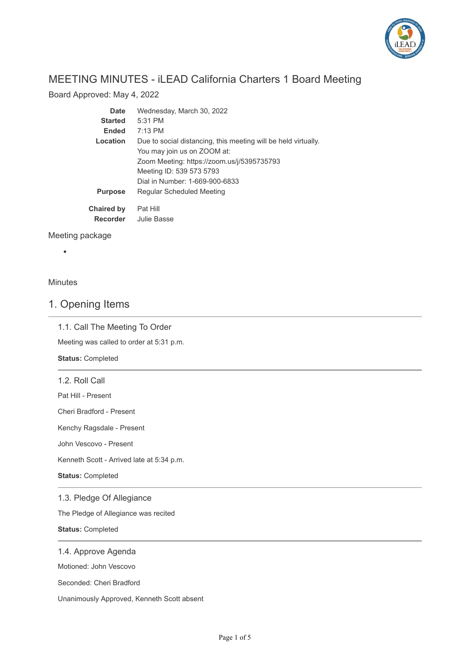

# MEETING MINUTES - iLEAD California Charters 1 Board Meeting

Board Approved: May 4, 2022

| Date              | Wednesday, March 30, 2022                                      |
|-------------------|----------------------------------------------------------------|
| <b>Started</b>    | $5:31$ PM                                                      |
| <b>Ended</b>      | $7:13$ PM                                                      |
| Location          | Due to social distancing, this meeting will be held virtually. |
|                   | You may join us on ZOOM at:                                    |
|                   | Zoom Meeting: https://zoom.us/j/5395735793                     |
|                   | Meeting ID: 539 573 5793                                       |
|                   | Dial in Number: 1-669-900-6833                                 |
| <b>Purpose</b>    | Regular Scheduled Meeting                                      |
| <b>Chaired by</b> | Pat Hill                                                       |
| <b>Recorder</b>   | Julie Basse                                                    |

Meeting package

### Minutes

 $\bullet$ 

### 1. Opening Items

### 1.1. Call The Meeting To Order

Meeting was called to order at 5:31 p.m.

**Status:** Completed

1.2. Roll Call

Pat Hill - Present

Cheri Bradford - Present

Kenchy Ragsdale - Present

John Vescovo - Present

Kenneth Scott - Arrived late at 5:34 p.m.

**Status:** Completed

1.3. Pledge Of Allegiance

The Pledge of Allegiance was recited

**Status:** Completed

#### 1.4. Approve Agenda

Motioned: John Vescovo

Seconded: Cheri Bradford

Unanimously Approved, Kenneth Scott absent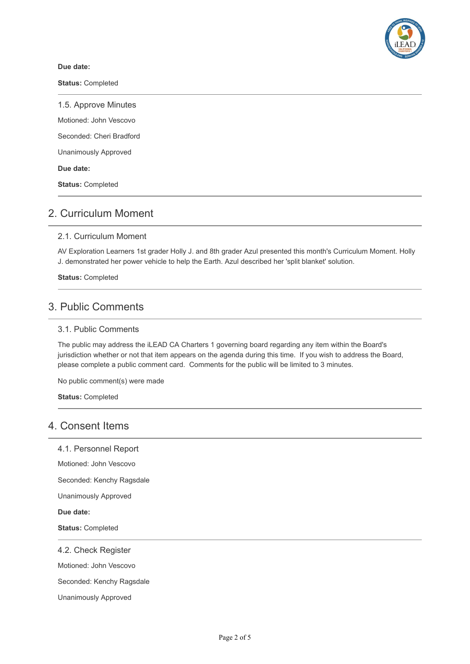

#### **Due date:**

**Status:** Completed

1.5. Approve Minutes

Motioned: John Vescovo

Seconded: Cheri Bradford

Unanimously Approved

**Due date:**

**Status:** Completed

## 2. Curriculum Moment

### 2.1. Curriculum Moment

AV Exploration Learners 1st grader Holly J. and 8th grader Azul presented this month's Curriculum Moment. Holly J. demonstrated her power vehicle to help the Earth. Azul described her 'split blanket' solution.

**Status:** Completed

### 3. Public Comments

#### 3.1. Public Comments

The public may address the iLEAD CA Charters 1 governing board regarding any item within the Board's jurisdiction whether or not that item appears on the agenda during this time. If you wish to address the Board, please complete a public comment card. Comments for the public will be limited to 3 minutes.

No public comment(s) were made

**Status:** Completed

### 4. Consent Items

4.1. Personnel Report

Motioned: John Vescovo

Seconded: Kenchy Ragsdale

Unanimously Approved

**Due date:**

**Status:** Completed

4.2. Check Register

Motioned: John Vescovo

Seconded: Kenchy Ragsdale

Unanimously Approved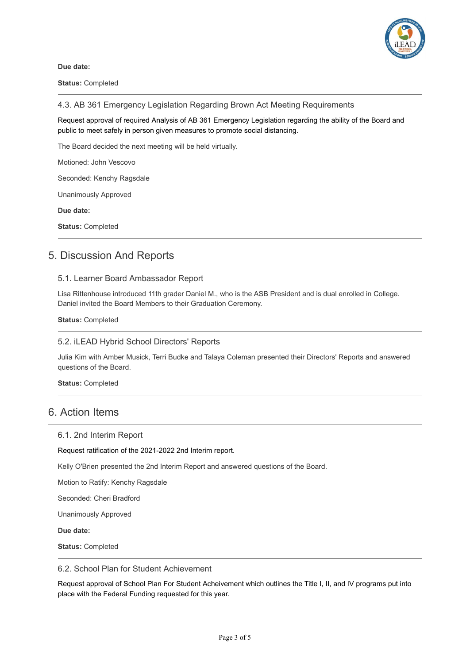

**Due date:**

**Status:** Completed

4.3. AB 361 Emergency Legislation Regarding Brown Act Meeting Requirements

Request approval of required Analysis of AB 361 Emergency Legislation regarding the ability of the Board and public to meet safely in person given measures to promote social distancing.

The Board decided the next meeting will be held virtually.

Motioned: John Vescovo

Seconded: Kenchy Ragsdale

Unanimously Approved

**Due date:**

**Status:** Completed

### 5. Discussion And Reports

#### 5.1. Learner Board Ambassador Report

Lisa Rittenhouse introduced 11th grader Daniel M., who is the ASB President and is dual enrolled in College. Daniel invited the Board Members to their Graduation Ceremony.

#### **Status:** Completed

#### 5.2. iLEAD Hybrid School Directors' Reports

Julia Kim with Amber Musick, Terri Budke and Talaya Coleman presented their Directors' Reports and answered questions of the Board.

**Status:** Completed

### 6. Action Items

#### 6.1. 2nd Interim Report

Request ratification of the 2021-2022 2nd Interim report.

Kelly O'Brien presented the 2nd Interim Report and answered questions of the Board.

Motion to Ratify: Kenchy Ragsdale

Seconded: Cheri Bradford

Unanimously Approved

**Due date:**

**Status:** Completed

#### 6.2. School Plan for Student Achievement

Request approval of School Plan For Student Acheivement which outlines the Title I, II, and IV programs put into place with the Federal Funding requested for this year.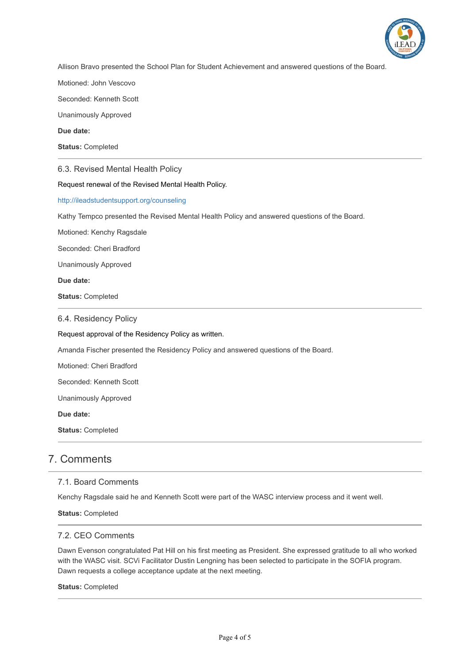

Allison Bravo presented the School Plan for Student Achievement and answered questions of the Board.

Motioned: John Vescovo

Seconded: Kenneth Scott

Unanimously Approved

**Due date:**

**Status:** Completed

6.3. Revised Mental Health Policy

Request renewal of the Revised Mental Health Policy.

<http://ileadstudentsupport.org/counseling>

Kathy Tempco presented the Revised Mental Health Policy and answered questions of the Board.

Motioned: Kenchy Ragsdale

Seconded: Cheri Bradford

Unanimously Approved

**Due date:**

**Status:** Completed

6.4. Residency Policy

Request approval of the Residency Policy as written.

Amanda Fischer presented the Residency Policy and answered questions of the Board.

Motioned: Cheri Bradford

Seconded: Kenneth Scott

Unanimously Approved

**Due date:**

**Status:** Completed

### 7. Comments

#### 7.1. Board Comments

Kenchy Ragsdale said he and Kenneth Scott were part of the WASC interview process and it went well.

**Status:** Completed

#### 7.2. CEO Comments

Dawn Evenson congratulated Pat Hill on his first meeting as President. She expressed gratitude to all who worked with the WASC visit. SCVi Facilitator Dustin Lengning has been selected to participate in the SOFIA program. Dawn requests a college acceptance update at the next meeting.

#### **Status:** Completed